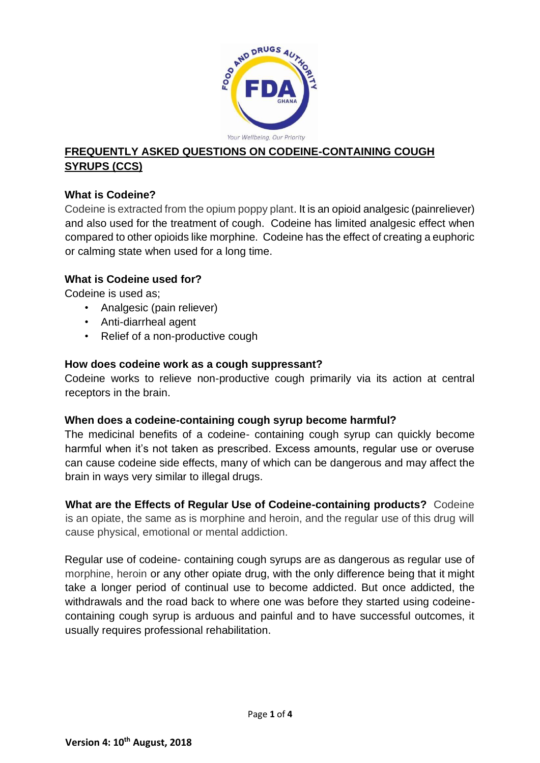

# **FREQUENTLY ASKED QUESTIONS ON CODEINE-CONTAINING COUGH SYRUPS (CCS)**

## **What is Codeine?**

Codeine is extracted from the opium poppy plant. It is an opioid analgesic (painreliever) and also used for the treatment of cough. Codeine has limited analgesic effect when compared to other opioids like morphine. Codeine has the effect of creating a euphoric or calming state when used for a long time.

#### **What is Codeine used for?**

Codeine is used as;

- Analgesic (pain reliever)
- Anti-diarrheal agent
- Relief of a non-productive cough

#### **How does codeine work as a cough suppressant?**

Codeine works to relieve non-productive cough primarily via its action at central receptors in the brain.

#### **When does a codeine-containing cough syrup become harmful?**

The medicinal benefits of a codeine- containing cough syrup can quickly become harmful when it's not taken as prescribed. Excess amounts, regular use or overuse can cause codeine side effects, many of which can be dangerous and may affect the brain in ways very similar to illegal drugs.

**What are the Effects of Regular Use of Codeine-containing products?** Codeine is an opiate, the same as is morphine and heroin, and the regular use of this drug will cause physical, emotional or mental addiction.

Regular use of codeine- containing cough syrups are as dangerous as regular use of morphine, heroin or any other opiate drug, with the only difference being that it might take a longer period of continual use to become addicted. But once addicted, the withdrawals and the road back to where one was before they started using codeinecontaining cough syrup is arduous and painful and to have successful outcomes, it usually requires professional rehabilitation.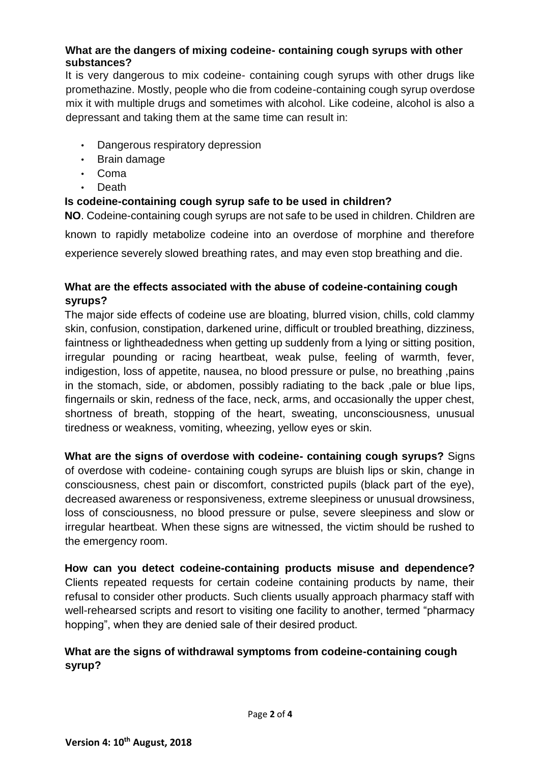#### **What are the dangers of mixing codeine- containing cough syrups with other substances?**

It is very dangerous to mix codeine- containing cough syrups with other drugs like promethazine. Mostly, people who die from codeine-containing cough syrup overdose mix it with multiple drugs and sometimes with alcohol. Like codeine, alcohol is also a depressant and taking them at the same time can result in:

- Dangerous respiratory depression
- Brain damage
- Coma
- Death

## **Is codeine-containing cough syrup safe to be used in children?**

**NO**. Codeine-containing cough syrups are not safe to be used in children. Children are known to rapidly metabolize codeine into an overdose of morphine and therefore experience severely slowed [breathing](http://www.webmd.com/lung/how-we-breathe) rates, and may even stop breathing and die.

## **What are the effects associated with the abuse of codeine-containing cough syrups?**

The major side effects of codeine use are bloating, blurred vision, chills, cold clammy skin, confusion, constipation, darkened urine, difficult or troubled breathing, dizziness, faintness or lightheadedness when getting up suddenly from a lying or sitting position, irregular pounding or racing heartbeat, weak pulse, feeling of warmth, fever, indigestion, loss of appetite, nausea, no blood pressure or pulse, no breathing ,pains in the stomach, side, or abdomen, possibly radiating to the back ,pale or blue lips, fingernails or skin, redness of the face, neck, arms, and occasionally the upper chest, shortness of breath, stopping of the heart, sweating, unconsciousness, unusual tiredness or weakness, vomiting, wheezing, yellow eyes or skin.

**What are the signs of overdose with codeine- containing cough syrups?** Signs of overdose with codeine- containing cough syrups are bluish lips or skin, change in consciousness, chest pain or discomfort, constricted pupils (black part of the eye), decreased awareness or responsiveness, extreme sleepiness or unusual drowsiness, loss of consciousness, no blood pressure or pulse, severe sleepiness and slow or irregular heartbeat. When these signs are witnessed, the victim should be rushed to the emergency room.

**How can you detect codeine-containing products misuse and dependence?**  Clients repeated requests for certain codeine containing products by name, their refusal to consider other products. Such clients usually approach pharmacy staff with well-rehearsed scripts and resort to visiting one facility to another, termed "pharmacy hopping", when they are denied sale of their desired product.

# **What are the signs of withdrawal symptoms from codeine-containing cough syrup?**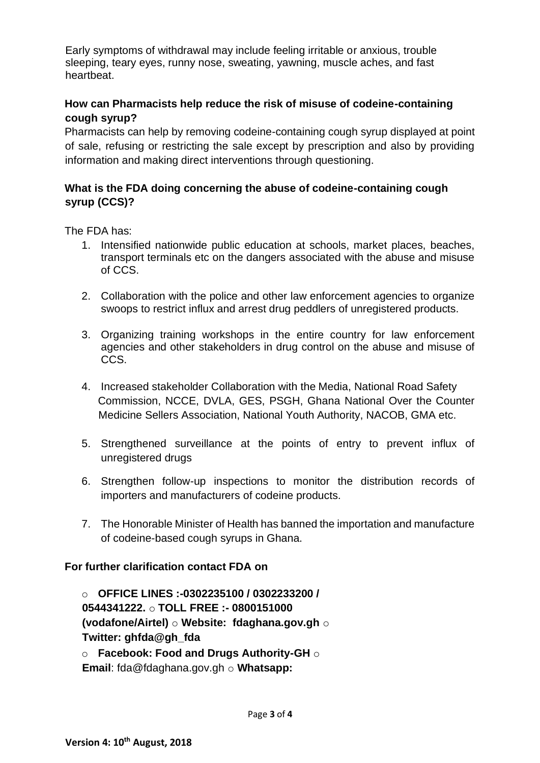Early symptoms of withdrawal may include feeling irritable or anxious, trouble sleeping, teary eyes, runny nose, sweating, yawning, muscle aches, and fast heartbeat.

### **How can Pharmacists help reduce the risk of misuse of codeine-containing cough syrup?**

Pharmacists can help by removing codeine-containing cough syrup displayed at point of sale, refusing or restricting the sale except by prescription and also by providing information and making direct interventions through questioning.

## **What is the FDA doing concerning the abuse of codeine-containing cough syrup (CCS)?**

The FDA has:

- 1. Intensified nationwide public education at schools, market places, beaches, transport terminals etc on the dangers associated with the abuse and misuse of CCS.
- 2. Collaboration with the police and other law enforcement agencies to organize swoops to restrict influx and arrest drug peddlers of unregistered products.
- 3. Organizing training workshops in the entire country for law enforcement agencies and other stakeholders in drug control on the abuse and misuse of CCS.
- 4. Increased stakeholder Collaboration with the Media, National Road Safety Commission, NCCE, DVLA, GES, PSGH, Ghana National Over the Counter Medicine Sellers Association, National Youth Authority, NACOB, GMA etc.
- 5. Strengthened surveillance at the points of entry to prevent influx of unregistered drugs
- 6. Strengthen follow-up inspections to monitor the distribution records of importers and manufacturers of codeine products.
- 7. The Honorable Minister of Health has banned the importation and manufacture of codeine-based cough syrups in Ghana.

#### **For further clarification contact FDA on**

o **OFFICE LINES :-0302235100 / 0302233200 / 0544341222.** o **TOLL FREE :- 0800151000 (vodafone/Airtel)** o **Website: fdaghana.gov.gh** o **Twitter: ghfda@gh\_fda** o **Facebook: Food and Drugs Authority-GH** o

**Email**: fda@fdaghana.gov.gh o **Whatsapp:**